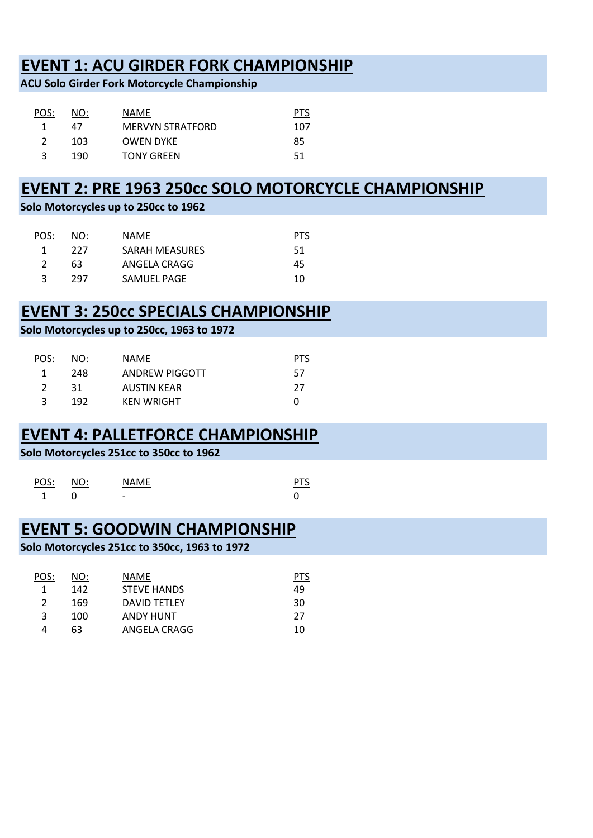# **EVENT 1: ACU GIRDER FORK CHAMPIONSHIP**

**ACU Solo Girder Fork Motorcycle Championship**

| POS: | NO: | NAME                    |     |
|------|-----|-------------------------|-----|
|      | 47  | <b>MERVYN STRATFORD</b> | 107 |
|      | 103 | <b>OWEN DYKE</b>        | 85  |
|      | 190 | <b>TONY GREEN</b>       | 51  |

# **EVENT 2: PRE 1963 250cc SOLO MOTORCYCLE CHAMPIONSHIP**

**Solo Motorcycles up to 250cc to 1962**

| POS: | NO: | NAME                  |    |
|------|-----|-----------------------|----|
|      | 227 | <b>SARAH MEASURES</b> | 51 |
|      | 63  | ANGELA CRAGG          | 45 |
|      | 297 | SAMUEL PAGE           | 10 |

# **EVENT 3: 250cc SPECIALS CHAMPIONSHIP**

**Solo Motorcycles up to 250cc, 1963 to 1972**

| POS:          | NO: | NAME              | PTS |
|---------------|-----|-------------------|-----|
| -1            | 248 | ANDREW PIGGOTT    | 57  |
| $\mathcal{L}$ | -31 | AUSTIN KEAR       | -27 |
|               | 192 | <b>KEN WRIGHT</b> | O   |

### **EVENT 4: PALLETFORCE CHAMPIONSHIP**

**Solo Motorcycles 251cc to 350cc to 1962**

| POS: | NO: | <b>NAME</b>              |  |
|------|-----|--------------------------|--|
|      |     | $\overline{\phantom{0}}$ |  |

### **EVENT 5: GOODWIN CHAMPIONSHIP**

**Solo Motorcycles 251cc to 350cc, 1963 to 1972**

| POS: | NO: | NAME                |    |
|------|-----|---------------------|----|
|      | 142 | <b>STEVE HANDS</b>  | 49 |
|      | 169 | <b>DAVID TETLEY</b> | 30 |
| ੨    | 100 | <b>ANDY HUNT</b>    | 27 |
|      | 63  | ANGELA CRAGG        | 10 |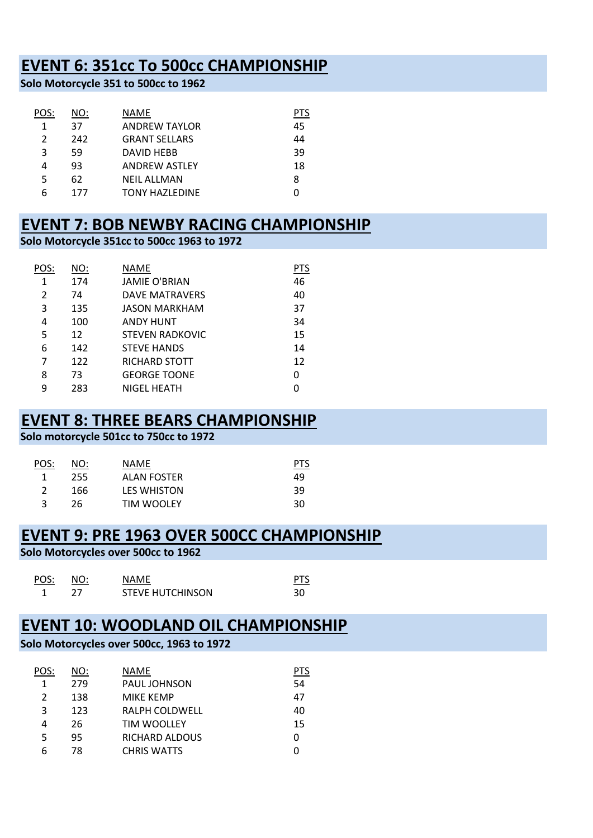# **EVENT 6: 351cc To 500cc CHAMPIONSHIP**

**Solo Motorcycle 351 to 500cc to 1962**

| POS:          | NO: | <b>NAME</b>           | <b>PTS</b> |
|---------------|-----|-----------------------|------------|
| 1             | 37  | <b>ANDREW TAYLOR</b>  | 45         |
| $\mathcal{P}$ | 242 | <b>GRANT SELLARS</b>  | 44         |
| 3             | 59  | DAVID HEBB            | 39         |
| 4             | 93  | <b>ANDREW ASTLEY</b>  | 18         |
| 5             | 62  | <b>NEIL ALLMAN</b>    | 8          |
| 6             | 177 | <b>TONY HAZLEDINE</b> |            |

### **EVENT 7: BOB NEWBY RACING CHAMPIONSHIP**

#### **Solo Motorcycle 351cc to 500cc 1963 to 1972**

| POS:         | NO: | NAME                   | PTS |
|--------------|-----|------------------------|-----|
| $\mathbf{1}$ | 174 | <b>JAMIE O'BRIAN</b>   | 46  |
| 2            | 74  | <b>DAVE MATRAVERS</b>  | 40  |
| 3            | 135 | <b>JASON MARKHAM</b>   | 37  |
| 4            | 100 | <b>ANDY HUNT</b>       | 34  |
| 5            | 12  | <b>STEVEN RADKOVIC</b> | 15  |
| 6            | 142 | <b>STEVE HANDS</b>     | 14  |
| 7            | 122 | RICHARD STOTT          | 12  |
| 8            | 73  | <b>GEORGE TOONE</b>    | 0   |
| 9            | 283 | <b>NIGEL HEATH</b>     | U   |

### **EVENT 8: THREE BEARS CHAMPIONSHIP**

#### **Solo motorcycle 501cc to 750cc to 1972**

| <u>POS:</u> | NO: | <b>NAMF</b>        | <u>PTS</u> |
|-------------|-----|--------------------|------------|
|             | 255 | ALAN FOSTER        | 49         |
|             | 166 | <b>LES WHISTON</b> | 39         |
|             | 26  | TIM WOOLEY         | 30         |

### **EVENT 9: PRE 1963 OVER 500CC CHAMPIONSHIP**

#### **Solo Motorcycles over 500cc to 1962**

| POS: | NO: | <b>NAMF</b>             |  |
|------|-----|-------------------------|--|
|      |     | <b>STEVE HUTCHINSON</b> |  |

### **EVENT 10: WOODLAND OIL CHAMPIONSHIP**

#### **Solo Motorcycles over 500cc, 1963 to 1972**

| POS:          | NO: | NAME                  | PTS |
|---------------|-----|-----------------------|-----|
| 1             | 279 | PAUL JOHNSON          | 54  |
| $\mathcal{P}$ | 138 | <b>MIKE KEMP</b>      | 47  |
| 3             | 123 | <b>RALPH COLDWELL</b> | 40  |
| 4             | 26  | <b>TIM WOOLLEY</b>    | 15  |
| 5             | 95  | RICHARD ALDOUS        | O   |
| 6             | 78  | <b>CHRIS WATTS</b>    |     |